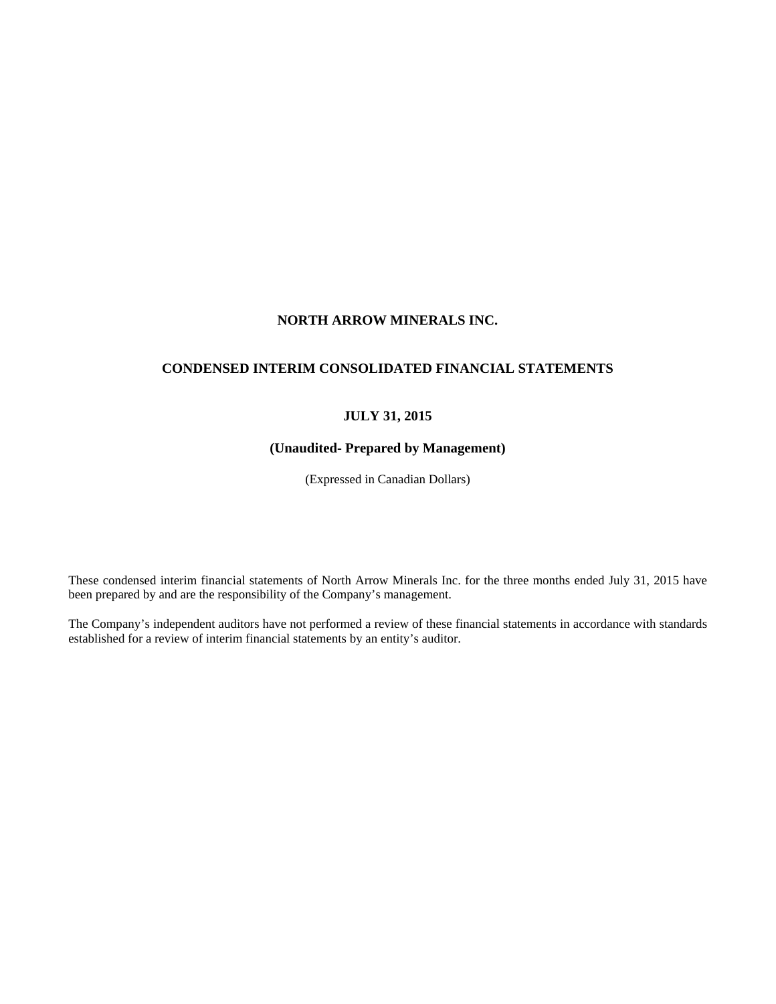# **NORTH ARROW MINERALS INC.**

# **CONDENSED INTERIM CONSOLIDATED FINANCIAL STATEMENTS**

# **JULY 31, 2015**

# **(Unaudited- Prepared by Management)**

(Expressed in Canadian Dollars)

These condensed interim financial statements of North Arrow Minerals Inc. for the three months ended July 31, 2015 have been prepared by and are the responsibility of the Company's management.

The Company's independent auditors have not performed a review of these financial statements in accordance with standards established for a review of interim financial statements by an entity's auditor.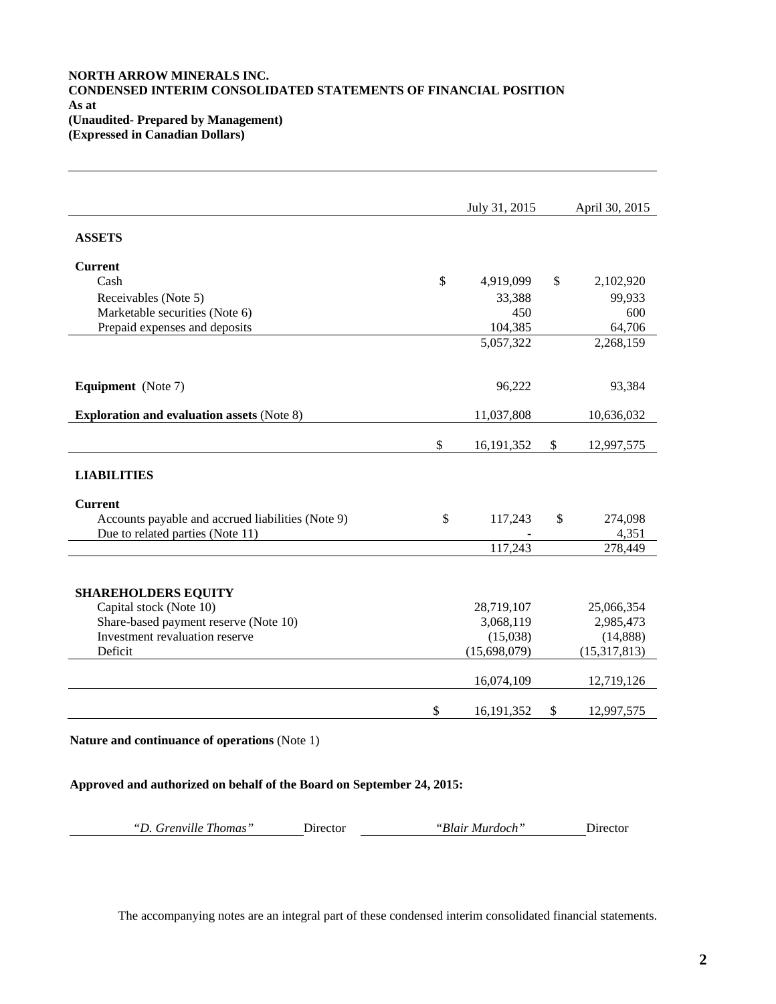# **NORTH ARROW MINERALS INC. CONDENSED INTERIM CONSOLIDATED STATEMENTS OF FINANCIAL POSITION As at (Unaudited- Prepared by Management) (Expressed in Canadian Dollars)**

|                                                   | July 31, 2015      | April 30, 2015   |
|---------------------------------------------------|--------------------|------------------|
| <b>ASSETS</b>                                     |                    |                  |
|                                                   |                    |                  |
| <b>Current</b>                                    |                    |                  |
| Cash                                              | \$<br>4,919,099    | \$<br>2,102,920  |
| Receivables (Note 5)                              | 33,388             | 99,933           |
| Marketable securities (Note 6)                    | 450                | 600              |
| Prepaid expenses and deposits                     | 104,385            | 64,706           |
|                                                   | 5,057,322          | 2,268,159        |
|                                                   |                    |                  |
| <b>Equipment</b> (Note 7)                         | 96,222             | 93,384           |
|                                                   |                    |                  |
| <b>Exploration and evaluation assets (Note 8)</b> | 11,037,808         | 10,636,032       |
|                                                   |                    |                  |
|                                                   | \$<br>16, 191, 352 | \$<br>12,997,575 |
|                                                   |                    |                  |
| <b>LIABILITIES</b>                                |                    |                  |
|                                                   |                    |                  |
| <b>Current</b>                                    |                    |                  |
| Accounts payable and accrued liabilities (Note 9) | \$<br>117,243      | \$<br>274,098    |
| Due to related parties (Note 11)                  |                    | 4,351            |
|                                                   | 117,243            | 278,449          |
|                                                   |                    |                  |
| <b>SHAREHOLDERS EQUITY</b>                        |                    |                  |
| Capital stock (Note 10)                           | 28,719,107         | 25,066,354       |
| Share-based payment reserve (Note 10)             | 3,068,119          | 2,985,473        |
| Investment revaluation reserve                    | (15,038)           | (14, 888)        |
| Deficit                                           | (15,698,079)       | (15, 317, 813)   |
|                                                   |                    |                  |
|                                                   | 16,074,109         | 12,719,126       |
|                                                   |                    |                  |
|                                                   | \$<br>16,191,352   | \$<br>12,997,575 |
|                                                   |                    |                  |
| Nature and continuance of operations (Note 1)     |                    |                  |

**Approved and authorized on behalf of the Board on September 24, 2015:**

*"D. Grenville Thomas"* Director *"Blair Murdoch"* Director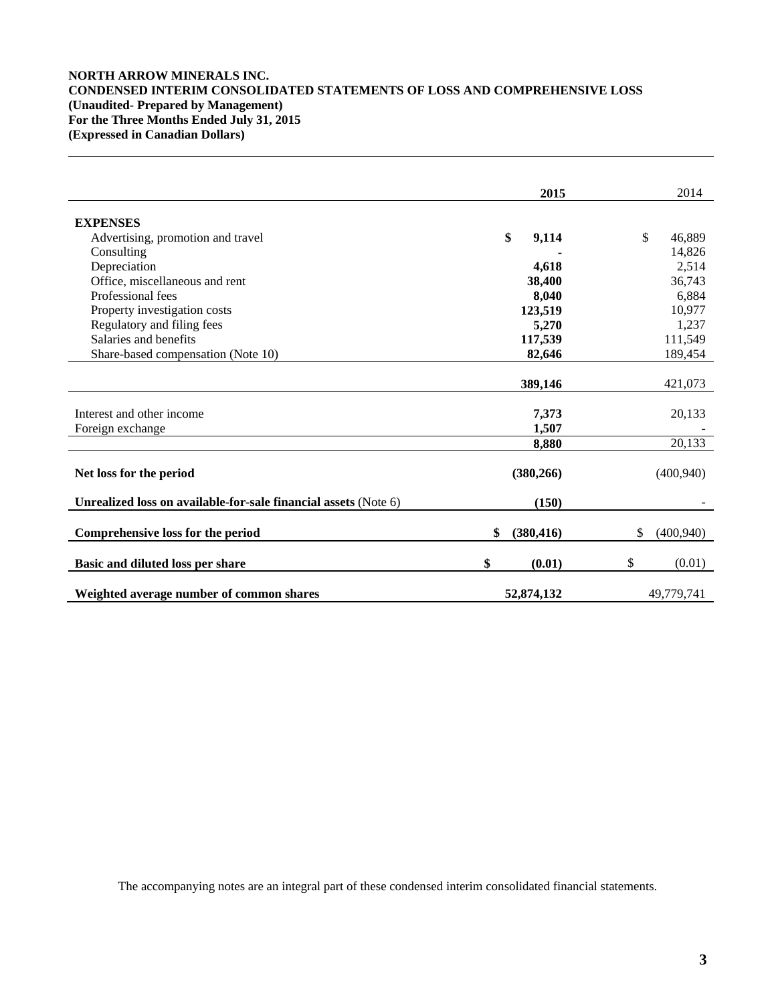# **NORTH ARROW MINERALS INC. CONDENSED INTERIM CONSOLIDATED STATEMENTS OF LOSS AND COMPREHENSIVE LOSS (Unaudited- Prepared by Management) For the Three Months Ended July 31, 2015 (Expressed in Canadian Dollars)**

|                                                                 | 2015             | 2014             |
|-----------------------------------------------------------------|------------------|------------------|
| <b>EXPENSES</b>                                                 |                  |                  |
| Advertising, promotion and travel                               | \$<br>9,114      | \$<br>46,889     |
| Consulting                                                      |                  | 14,826           |
| Depreciation                                                    | 4,618            | 2,514            |
| Office, miscellaneous and rent                                  | 38,400           | 36,743           |
| Professional fees                                               | 8,040            | 6,884            |
| Property investigation costs                                    | 123,519          | 10,977           |
| Regulatory and filing fees                                      | 5,270            | 1,237            |
| Salaries and benefits                                           | 117,539          | 111,549          |
| Share-based compensation (Note 10)                              | 82,646           | 189,454          |
|                                                                 |                  |                  |
|                                                                 | 389,146          | 421,073          |
|                                                                 |                  |                  |
| Interest and other income                                       | 7,373            | 20,133           |
| Foreign exchange                                                | 1.507            |                  |
|                                                                 | 8,880            | 20,133           |
| Net loss for the period                                         | (380, 266)       | (400, 940)       |
| Unrealized loss on available-for-sale financial assets (Note 6) | (150)            |                  |
| Comprehensive loss for the period                               | \$<br>(380, 416) | \$<br>(400, 940) |
| Basic and diluted loss per share                                | \$<br>(0.01)     | \$<br>(0.01)     |
| Weighted average number of common shares                        | 52,874,132       | 49,779,741       |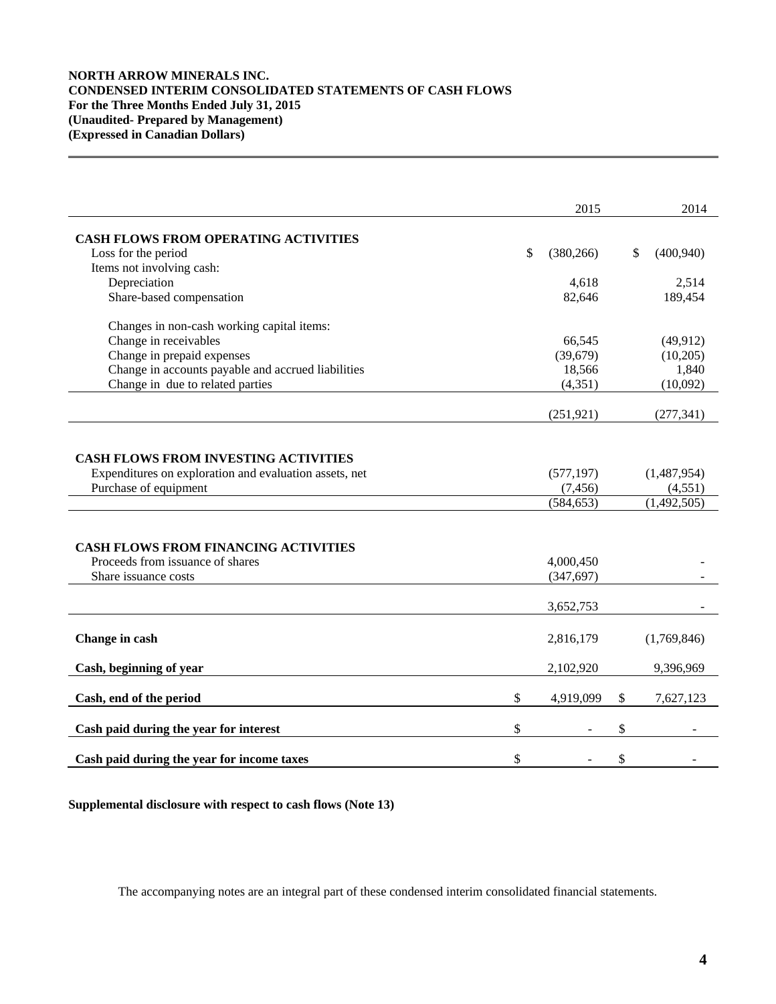# **NORTH ARROW MINERALS INC. CONDENSED INTERIM CONSOLIDATED STATEMENTS OF CASH FLOWS For the Three Months Ended July 31, 2015 (Unaudited- Prepared by Management) (Expressed in Canadian Dollars)**

|                                                        | 2015             | 2014             |
|--------------------------------------------------------|------------------|------------------|
| <b>CASH FLOWS FROM OPERATING ACTIVITIES</b>            |                  |                  |
| Loss for the period                                    | \$<br>(380, 266) | \$<br>(400, 940) |
| Items not involving cash:                              |                  |                  |
| Depreciation                                           | 4,618            | 2,514            |
| Share-based compensation                               | 82,646           | 189,454          |
| Changes in non-cash working capital items:             |                  |                  |
| Change in receivables                                  | 66,545           | (49, 912)        |
| Change in prepaid expenses                             | (39,679)         | (10,205)         |
| Change in accounts payable and accrued liabilities     | 18,566           | 1,840            |
| Change in due to related parties                       | (4, 351)         | (10,092)         |
|                                                        | (251, 921)       | (277, 341)       |
|                                                        |                  |                  |
| <b>CASH FLOWS FROM INVESTING ACTIVITIES</b>            |                  |                  |
| Expenditures on exploration and evaluation assets, net | (577, 197)       | (1,487,954)      |
| Purchase of equipment                                  | (7, 456)         | (4,551)          |
|                                                        | (584, 653)       | (1,492,505)      |
|                                                        |                  |                  |
| <b>CASH FLOWS FROM FINANCING ACTIVITIES</b>            |                  |                  |
| Proceeds from issuance of shares                       | 4,000,450        |                  |
| Share issuance costs                                   | (347, 697)       |                  |
|                                                        | 3,652,753        |                  |
|                                                        |                  |                  |
| Change in cash                                         | 2,816,179        | (1,769,846)      |
| Cash, beginning of year                                | 2,102,920        | 9,396,969        |
| Cash, end of the period                                | \$<br>4,919,099  | \$<br>7,627,123  |
|                                                        |                  |                  |
| Cash paid during the year for interest                 | \$               | \$               |
| Cash paid during the year for income taxes             | \$               | \$               |

**Supplemental disclosure with respect to cash flows (Note 13)**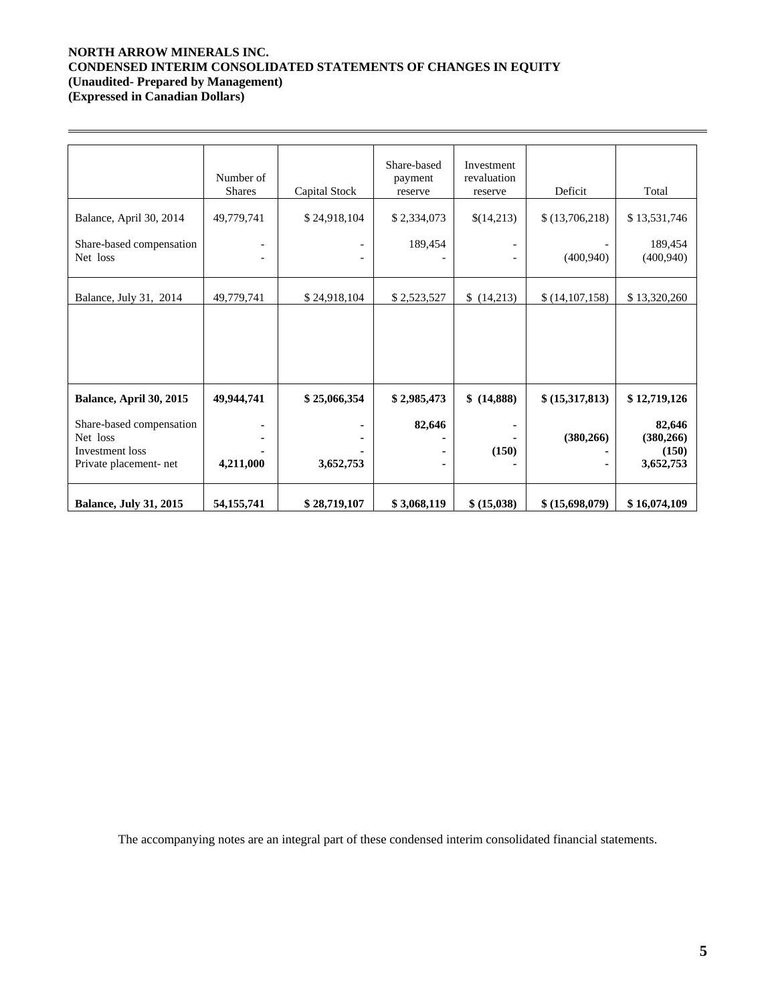## **NORTH ARROW MINERALS INC. CONDENSED INTERIM CONSOLIDATED STATEMENTS OF CHANGES IN EQUITY (Unaudited- Prepared by Management) (Expressed in Canadian Dollars)**

|                                                                                          | Number of<br><b>Shares</b> | Capital Stock | Share-based<br>payment<br>reserve | Investment<br>revaluation<br>reserve | Deficit         | Total                                      |
|------------------------------------------------------------------------------------------|----------------------------|---------------|-----------------------------------|--------------------------------------|-----------------|--------------------------------------------|
| Balance, April 30, 2014                                                                  | 49,779,741                 | \$24,918,104  | \$2,334,073                       | \$(14,213)                           | \$(13,706,218)  | \$13,531,746                               |
| Share-based compensation<br>Net loss                                                     |                            |               | 189,454                           |                                      | (400, 940)      | 189,454<br>(400, 940)                      |
| Balance, July 31, 2014                                                                   | 49,779,741                 | \$24,918,104  | \$2,523,527                       | \$(14,213)                           | \$(14,107,158)  | \$13,320,260                               |
|                                                                                          |                            |               |                                   |                                      |                 |                                            |
| Balance, April 30, 2015                                                                  | 49,944,741                 | \$25,066,354  | \$2,985,473                       | \$ (14,888)                          | \$ (15,317,813) | \$12,719,126                               |
| Share-based compensation<br>Net loss<br><b>Investment</b> loss<br>Private placement- net | 4,211,000                  | 3,652,753     | 82,646                            | (150)                                | (380, 266)      | 82,646<br>(380, 266)<br>(150)<br>3,652,753 |
| <b>Balance, July 31, 2015</b>                                                            | 54, 155, 741               | \$28,719,107  | \$3,068,119                       | \$ (15,038)                          | \$ (15,698,079) | \$16,074,109                               |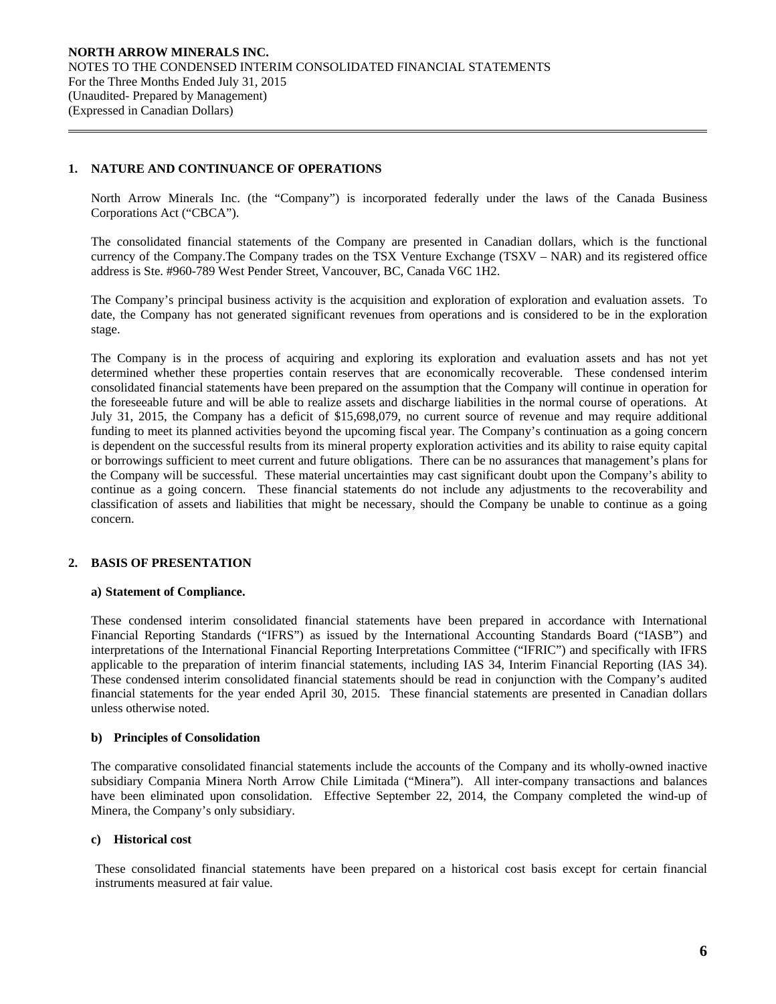# **1. NATURE AND CONTINUANCE OF OPERATIONS**

 $\overline{a}$ 

North Arrow Minerals Inc. (the "Company") is incorporated federally under the laws of the Canada Business Corporations Act ("CBCA").

The consolidated financial statements of the Company are presented in Canadian dollars, which is the functional currency of the Company.The Company trades on the TSX Venture Exchange (TSXV – NAR) and its registered office address is Ste. #960-789 West Pender Street, Vancouver, BC, Canada V6C 1H2.

The Company's principal business activity is the acquisition and exploration of exploration and evaluation assets. To date, the Company has not generated significant revenues from operations and is considered to be in the exploration stage.

The Company is in the process of acquiring and exploring its exploration and evaluation assets and has not yet determined whether these properties contain reserves that are economically recoverable. These condensed interim consolidated financial statements have been prepared on the assumption that the Company will continue in operation for the foreseeable future and will be able to realize assets and discharge liabilities in the normal course of operations. At July 31, 2015, the Company has a deficit of \$15,698,079, no current source of revenue and may require additional funding to meet its planned activities beyond the upcoming fiscal year. The Company's continuation as a going concern is dependent on the successful results from its mineral property exploration activities and its ability to raise equity capital or borrowings sufficient to meet current and future obligations. There can be no assurances that management's plans for the Company will be successful. These material uncertainties may cast significant doubt upon the Company's ability to continue as a going concern. These financial statements do not include any adjustments to the recoverability and classification of assets and liabilities that might be necessary, should the Company be unable to continue as a going concern.

# **2. BASIS OF PRESENTATION**

## **a) Statement of Compliance.**

These condensed interim consolidated financial statements have been prepared in accordance with International Financial Reporting Standards ("IFRS") as issued by the International Accounting Standards Board ("IASB") and interpretations of the International Financial Reporting Interpretations Committee ("IFRIC") and specifically with IFRS applicable to the preparation of interim financial statements, including IAS 34, Interim Financial Reporting (IAS 34). These condensed interim consolidated financial statements should be read in conjunction with the Company's audited financial statements for the year ended April 30, 2015. These financial statements are presented in Canadian dollars unless otherwise noted.

## **b) Principles of Consolidation**

The comparative consolidated financial statements include the accounts of the Company and its wholly-owned inactive subsidiary Compania Minera North Arrow Chile Limitada ("Minera"). All inter-company transactions and balances have been eliminated upon consolidation. Effective September 22, 2014, the Company completed the wind-up of Minera, the Company's only subsidiary.

## **c) Historical cost**

These consolidated financial statements have been prepared on a historical cost basis except for certain financial instruments measured at fair value.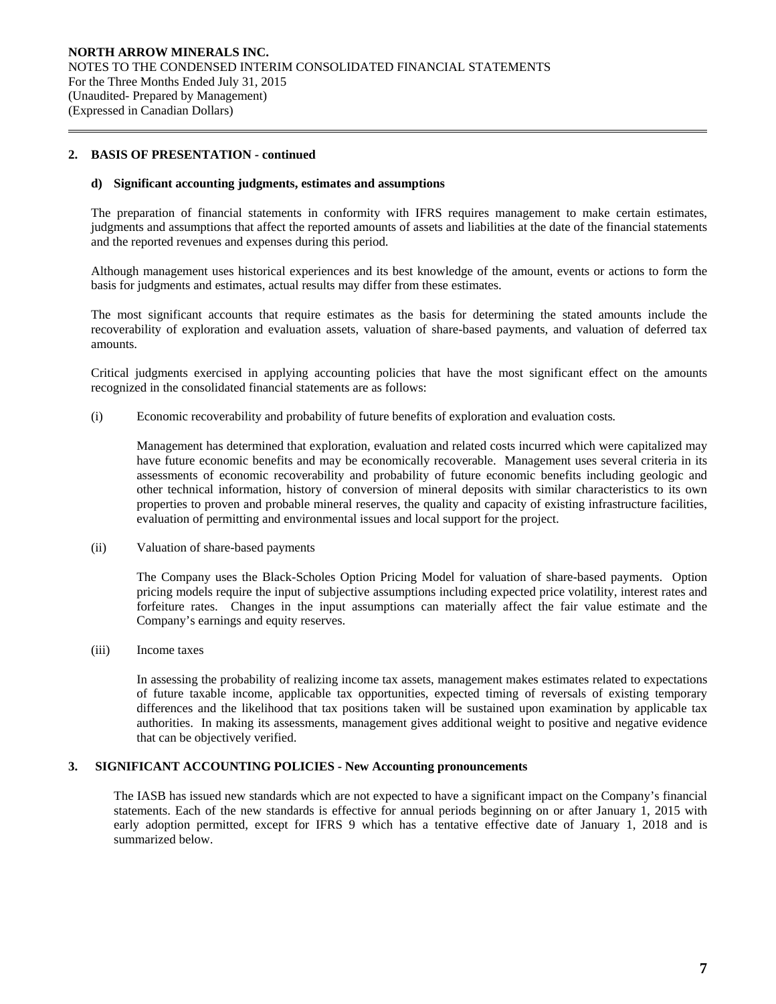## **2. BASIS OF PRESENTATION - continued**

 $\overline{a}$ 

#### **d) Significant accounting judgments, estimates and assumptions**

The preparation of financial statements in conformity with IFRS requires management to make certain estimates, judgments and assumptions that affect the reported amounts of assets and liabilities at the date of the financial statements and the reported revenues and expenses during this period.

Although management uses historical experiences and its best knowledge of the amount, events or actions to form the basis for judgments and estimates, actual results may differ from these estimates.

The most significant accounts that require estimates as the basis for determining the stated amounts include the recoverability of exploration and evaluation assets, valuation of share-based payments, and valuation of deferred tax amounts.

Critical judgments exercised in applying accounting policies that have the most significant effect on the amounts recognized in the consolidated financial statements are as follows:

(i) Economic recoverability and probability of future benefits of exploration and evaluation costs*.* 

 Management has determined that exploration, evaluation and related costs incurred which were capitalized may have future economic benefits and may be economically recoverable. Management uses several criteria in its assessments of economic recoverability and probability of future economic benefits including geologic and other technical information, history of conversion of mineral deposits with similar characteristics to its own properties to proven and probable mineral reserves, the quality and capacity of existing infrastructure facilities, evaluation of permitting and environmental issues and local support for the project.

(ii) Valuation of share-based payments

The Company uses the Black-Scholes Option Pricing Model for valuation of share-based payments. Option pricing models require the input of subjective assumptions including expected price volatility, interest rates and forfeiture rates. Changes in the input assumptions can materially affect the fair value estimate and the Company's earnings and equity reserves.

(iii) Income taxes

In assessing the probability of realizing income tax assets, management makes estimates related to expectations of future taxable income, applicable tax opportunities, expected timing of reversals of existing temporary differences and the likelihood that tax positions taken will be sustained upon examination by applicable tax authorities. In making its assessments, management gives additional weight to positive and negative evidence that can be objectively verified.

## **3. SIGNIFICANT ACCOUNTING POLICIES - New Accounting pronouncements**

The IASB has issued new standards which are not expected to have a significant impact on the Company's financial statements. Each of the new standards is effective for annual periods beginning on or after January 1, 2015 with early adoption permitted, except for IFRS 9 which has a tentative effective date of January 1, 2018 and is summarized below.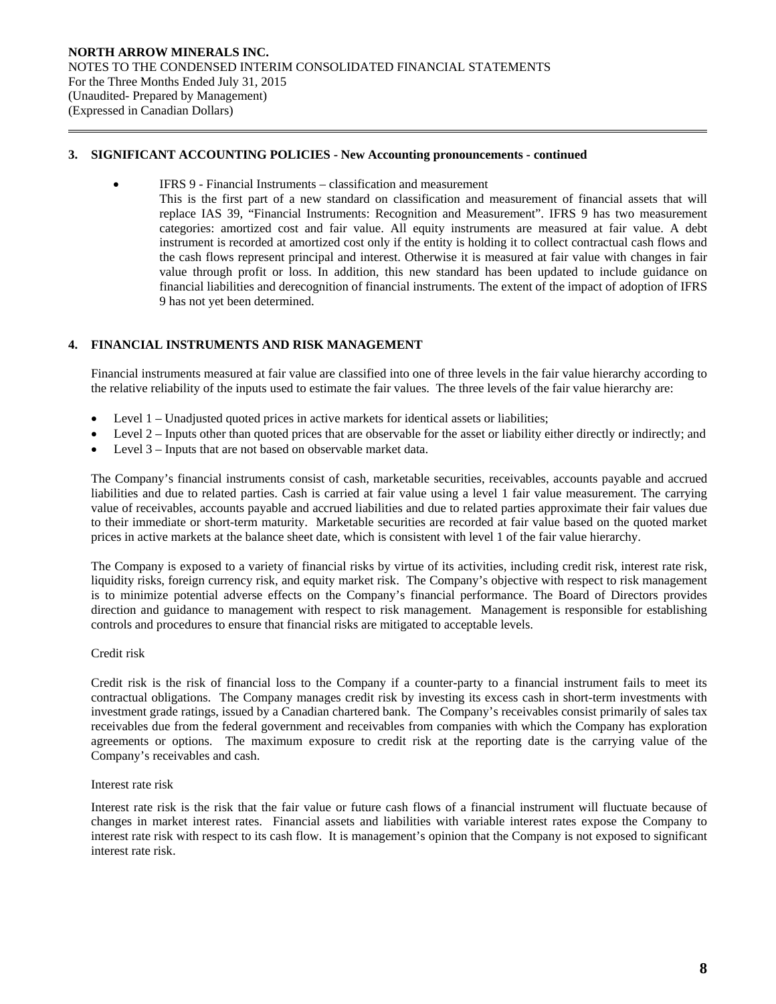## **3. SIGNIFICANT ACCOUNTING POLICIES - New Accounting pronouncements - continued**

IFRS 9 - Financial Instruments – classification and measurement

This is the first part of a new standard on classification and measurement of financial assets that will replace IAS 39, "Financial Instruments: Recognition and Measurement". IFRS 9 has two measurement categories: amortized cost and fair value. All equity instruments are measured at fair value. A debt instrument is recorded at amortized cost only if the entity is holding it to collect contractual cash flows and the cash flows represent principal and interest. Otherwise it is measured at fair value with changes in fair value through profit or loss. In addition, this new standard has been updated to include guidance on financial liabilities and derecognition of financial instruments. The extent of the impact of adoption of IFRS 9 has not yet been determined.

# **4. FINANCIAL INSTRUMENTS AND RISK MANAGEMENT**

Financial instruments measured at fair value are classified into one of three levels in the fair value hierarchy according to the relative reliability of the inputs used to estimate the fair values. The three levels of the fair value hierarchy are:

- Level 1 Unadjusted quoted prices in active markets for identical assets or liabilities;
- Level 2 Inputs other than quoted prices that are observable for the asset or liability either directly or indirectly; and
- Level 3 Inputs that are not based on observable market data.

The Company's financial instruments consist of cash, marketable securities, receivables, accounts payable and accrued liabilities and due to related parties. Cash is carried at fair value using a level 1 fair value measurement. The carrying value of receivables, accounts payable and accrued liabilities and due to related parties approximate their fair values due to their immediate or short-term maturity. Marketable securities are recorded at fair value based on the quoted market prices in active markets at the balance sheet date, which is consistent with level 1 of the fair value hierarchy.

The Company is exposed to a variety of financial risks by virtue of its activities, including credit risk, interest rate risk, liquidity risks, foreign currency risk, and equity market risk. The Company's objective with respect to risk management is to minimize potential adverse effects on the Company's financial performance. The Board of Directors provides direction and guidance to management with respect to risk management. Management is responsible for establishing controls and procedures to ensure that financial risks are mitigated to acceptable levels.

## Credit risk

 $\overline{a}$ 

Credit risk is the risk of financial loss to the Company if a counter-party to a financial instrument fails to meet its contractual obligations. The Company manages credit risk by investing its excess cash in short-term investments with investment grade ratings, issued by a Canadian chartered bank. The Company's receivables consist primarily of sales tax receivables due from the federal government and receivables from companies with which the Company has exploration agreements or options. The maximum exposure to credit risk at the reporting date is the carrying value of the Company's receivables and cash.

## Interest rate risk

Interest rate risk is the risk that the fair value or future cash flows of a financial instrument will fluctuate because of changes in market interest rates. Financial assets and liabilities with variable interest rates expose the Company to interest rate risk with respect to its cash flow. It is management's opinion that the Company is not exposed to significant interest rate risk.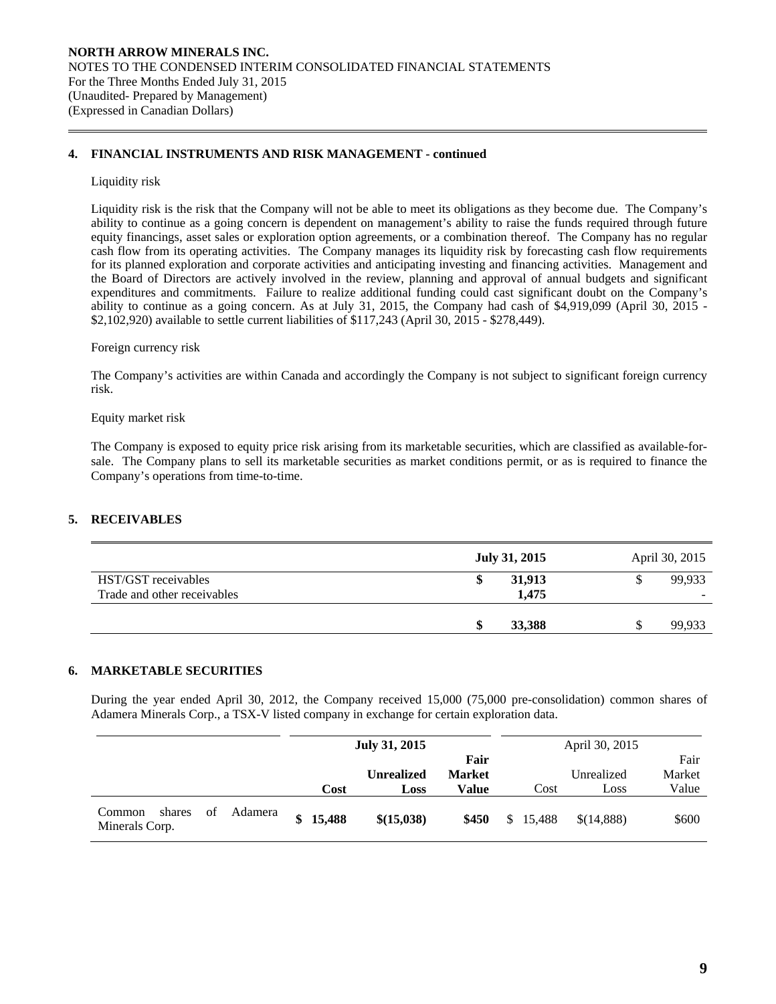# **4. FINANCIAL INSTRUMENTS AND RISK MANAGEMENT - continued**

## Liquidity risk

 $\overline{a}$ 

Liquidity risk is the risk that the Company will not be able to meet its obligations as they become due. The Company's ability to continue as a going concern is dependent on management's ability to raise the funds required through future equity financings, asset sales or exploration option agreements, or a combination thereof. The Company has no regular cash flow from its operating activities. The Company manages its liquidity risk by forecasting cash flow requirements for its planned exploration and corporate activities and anticipating investing and financing activities. Management and the Board of Directors are actively involved in the review, planning and approval of annual budgets and significant expenditures and commitments. Failure to realize additional funding could cast significant doubt on the Company's ability to continue as a going concern. As at July 31, 2015, the Company had cash of \$4,919,099 (April 30, 2015 - \$2,102,920) available to settle current liabilities of \$117,243 (April 30, 2015 - \$278,449).

#### Foreign currency risk

 The Company's activities are within Canada and accordingly the Company is not subject to significant foreign currency risk.

#### Equity market risk

The Company is exposed to equity price risk arising from its marketable securities, which are classified as available-forsale. The Company plans to sell its marketable securities as market conditions permit, or as is required to finance the Company's operations from time-to-time.

# **5. RECEIVABLES**

|                                                    | July 31, 2015   | April 30, 2015                     |
|----------------------------------------------------|-----------------|------------------------------------|
| HST/GST receivables<br>Trade and other receivables | 31,913<br>1,475 | 99.933<br>$\overline{\phantom{a}}$ |
|                                                    | 33,388<br>æ     | 99,933                             |

## **6. MARKETABLE SECURITIES**

 During the year ended April 30, 2012, the Company received 15,000 (75,000 pre-consolidation) common shares of Adamera Minerals Corp., a TSX-V listed company in exchange for certain exploration data.

|                                                     |              | July 31, 2015             |                                |     |        | April 30, 2015     |                         |
|-----------------------------------------------------|--------------|---------------------------|--------------------------------|-----|--------|--------------------|-------------------------|
|                                                     | Cost         | <b>Unrealized</b><br>Loss | Fair<br><b>Market</b><br>Value |     | Cost   | Unrealized<br>Loss | Fair<br>Market<br>Value |
| Adamera<br>of<br>shares<br>Common<br>Minerals Corp. | 15,488<br>\$ | \$(15,038)                | \$450                          | \$. | 15.488 | \$(14,888)         | \$600                   |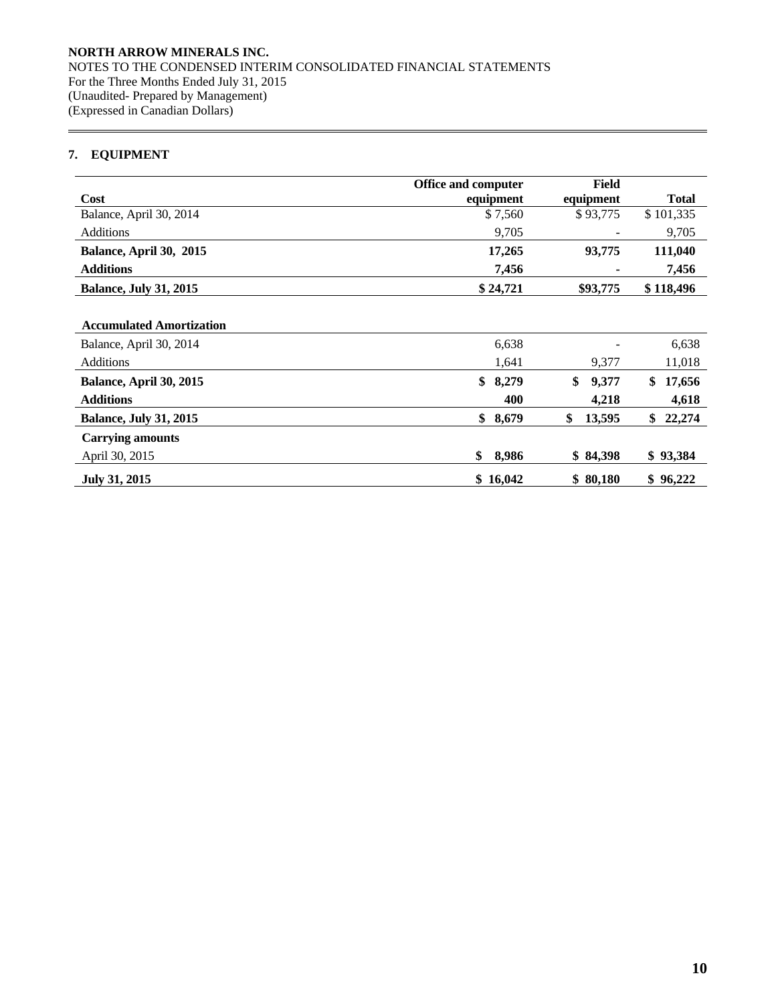# **7. EQUIPMENT**

 $\overline{a}$ 

|                                 | <b>Office and computer</b> | Field        |              |
|---------------------------------|----------------------------|--------------|--------------|
| Cost                            | equipment                  | equipment    | <b>Total</b> |
| Balance, April 30, 2014         | \$7,560                    | \$93,775     | \$101,335    |
| <b>Additions</b>                | 9,705                      |              | 9,705        |
| Balance, April 30, 2015         | 17,265                     | 93,775       | 111,040      |
| <b>Additions</b>                | 7,456                      |              | 7,456        |
| <b>Balance, July 31, 2015</b>   | \$24,721                   | \$93,775     | \$118,496    |
|                                 |                            |              |              |
| <b>Accumulated Amortization</b> |                            |              |              |
| Balance, April 30, 2014         | 6,638                      |              | 6,638        |
| <b>Additions</b>                | 1,641                      | 9,377        | 11,018       |
| Balance, April 30, 2015         | \$<br>8,279                | \$<br>9,377  | \$<br>17,656 |
| <b>Additions</b>                | 400                        | 4,218        | 4,618        |
| <b>Balance, July 31, 2015</b>   | \$<br>8,679                | \$<br>13,595 | \$<br>22,274 |
| <b>Carrying amounts</b>         |                            |              |              |
| April 30, 2015                  | \$<br>8,986                | \$84,398     | \$93,384     |
| <b>July 31, 2015</b>            | \$16,042                   | \$80,180     | \$96,222     |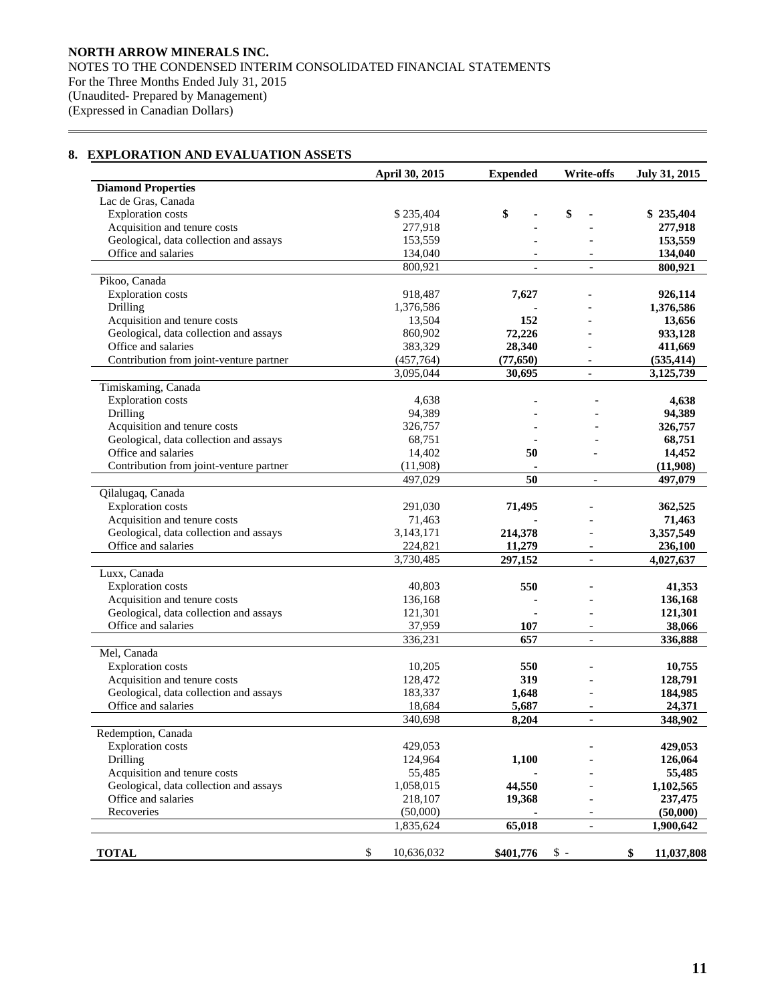# **8. EXPLORATION AND EVALUATION ASSETS**

 $\overline{a}$ 

|                                         | April 30, 2015   | <b>Expended</b> | <b>Write-offs</b>        | July 31, 2015    |
|-----------------------------------------|------------------|-----------------|--------------------------|------------------|
| <b>Diamond Properties</b>               |                  |                 |                          |                  |
| Lac de Gras, Canada                     |                  |                 |                          |                  |
| <b>Exploration</b> costs                | \$235,404        | \$              | \$                       | \$235,404        |
| Acquisition and tenure costs            | 277,918          |                 |                          | 277,918          |
| Geological, data collection and assays  | 153,559          |                 |                          | 153,559          |
| Office and salaries                     | 134,040          |                 |                          | 134,040          |
|                                         | 800,921          |                 | $\blacksquare$           | 800,921          |
| Pikoo, Canada                           |                  |                 |                          |                  |
| <b>Exploration</b> costs                | 918,487          | 7,627           |                          | 926,114          |
| Drilling                                | 1,376,586        |                 |                          | 1,376,586        |
| Acquisition and tenure costs            | 13,504           | 152             |                          | 13,656           |
| Geological, data collection and assays  | 860,902          | 72,226          |                          | 933,128          |
| Office and salaries                     | 383,329          | 28,340          |                          | 411,669          |
| Contribution from joint-venture partner | (457,764)        | (77, 650)       |                          | (535, 414)       |
|                                         | 3,095,044        | 30,695          | $\frac{1}{2}$            | 3,125,739        |
| Timiskaming, Canada                     |                  |                 |                          |                  |
| <b>Exploration costs</b>                | 4,638            |                 |                          | 4,638            |
| Drilling                                | 94,389           |                 |                          | 94,389           |
| Acquisition and tenure costs            | 326,757          |                 |                          | 326,757          |
| Geological, data collection and assays  | 68,751           |                 |                          | 68,751           |
| Office and salaries                     | 14,402           | 50              |                          | 14,452           |
| Contribution from joint-venture partner | (11,908)         |                 |                          | (11,908)         |
|                                         | 497,029          | 50              | $\mathcal{L}$            | 497,079          |
| Qilalugaq, Canada                       |                  |                 |                          |                  |
| <b>Exploration costs</b>                | 291,030          | 71,495          |                          | 362,525          |
| Acquisition and tenure costs            | 71,463           |                 |                          | 71,463           |
| Geological, data collection and assays  | 3,143,171        | 214,378         |                          | 3,357,549        |
| Office and salaries                     | 224,821          | 11,279          | $\overline{\phantom{a}}$ | 236,100          |
|                                         | 3,730,485        | 297,152         | $\overline{a}$           | 4,027,637        |
| Luxx, Canada                            |                  |                 |                          |                  |
| <b>Exploration costs</b>                | 40,803           | 550             |                          | 41,353           |
| Acquisition and tenure costs            | 136,168          |                 |                          | 136,168          |
| Geological, data collection and assays  | 121,301          |                 |                          | 121,301          |
| Office and salaries                     | 37,959           | 107             | $\blacksquare$           | 38,066           |
|                                         | 336,231          | 657             | $\overline{a}$           | 336,888          |
| Mel, Canada                             |                  |                 |                          |                  |
| <b>Exploration</b> costs                | 10,205           | 550             |                          | 10,755           |
| Acquisition and tenure costs            | 128,472          | 319             |                          | 128,791          |
| Geological, data collection and assays  | 183,337          | 1,648           |                          | 184,985          |
| Office and salaries                     | 18,684           | 5,687           | $\blacksquare$           | 24,371           |
|                                         | 340,698          | 8,204           | $\overline{a}$           | 348,902          |
| Redemption, Canada                      |                  |                 |                          |                  |
| <b>Exploration costs</b>                | 429,053          |                 |                          | 429,053          |
| Drilling                                | 124,964          | 1,100           |                          | 126,064          |
| Acquisition and tenure costs            | 55,485           |                 |                          | 55,485           |
| Geological, data collection and assays  | 1,058,015        | 44,550          |                          | 1,102,565        |
| Office and salaries                     | 218,107          | 19,368          |                          | 237,475          |
| Recoveries                              | (50,000)         |                 |                          | (50,000)         |
|                                         | 1,835,624        | 65,018          | $\qquad \qquad -$        | 1,900,642        |
|                                         |                  |                 |                          |                  |
| <b>TOTAL</b>                            | \$<br>10,636,032 | \$401,776       | $\hat{\mathbb{S}}$ -     | \$<br>11,037,808 |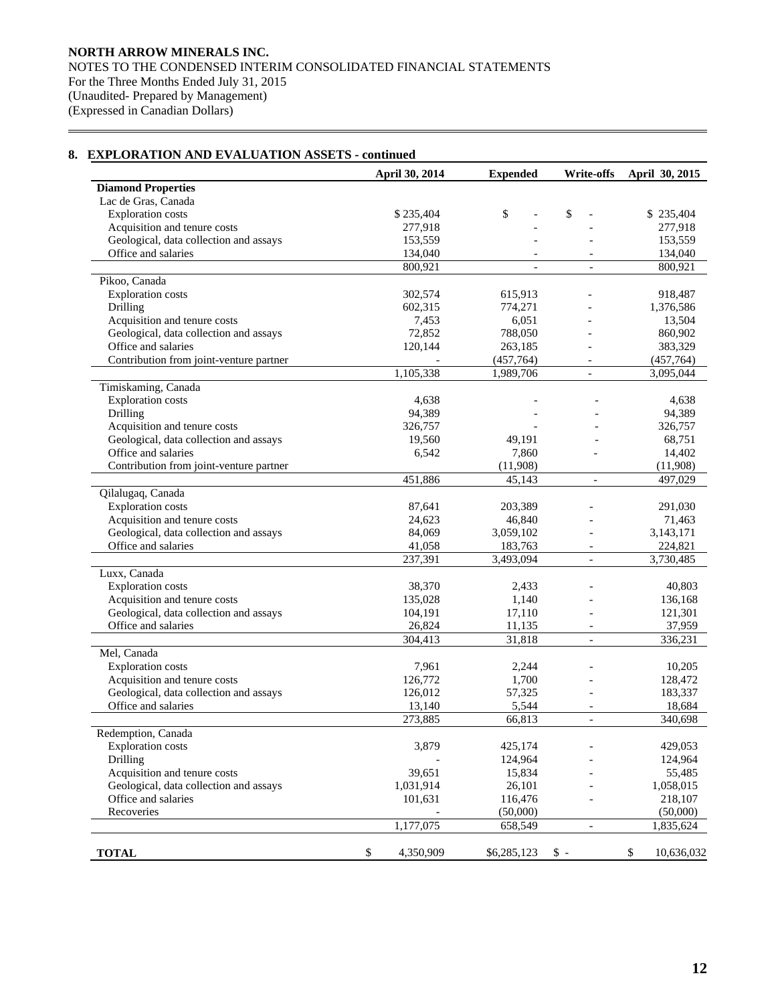## **April 30, 2014 Expended Write-offs April 30, 2015 Diamond Properties**  Lac de Gras, Canada Exploration costs \$ 235,404 \$  $\frac{1}{2}$  \$ 235,404 \$  $\frac{1}{2}$  \$ 235,404 \$ 235,404 Acquisition and tenure costs 277,918 - 277,918 - 277,918 Geological, data collection and assays 153,559 - 153,559 - 153,559 - 153,559 Office and salaries 134,040 - 134,040 - 134,040  $800,921$  - 800,921 Pikoo, Canada Exploration costs 302,574 615,913 - 918,487 Drilling 602,315 774,271 - 1,376,586 Acquisition and tenure costs  $7,453$  6,051 - 13,504 Geological, data collection and assays  $72,852$   $788,050$  - 860,902 Office and salaries 120,144 263,185 - 383,329 Contribution from joint-venture partner (457,764) (457,764) (457,764) 1,105,338 1,989,706 - 3,095,044 Timiskaming, Canada Exploration costs <br>  $\begin{array}{ccc}\n 4,638 \\
 \text{Drilling} \\
 \end{array}$  -  $\begin{array}{ccc}\n 4,638 \\
 \text{Orilling} \\
 \end{array}$  -  $\begin{array}{ccc}\n 4,638 \\
 \text{Orilling} \\
 \end{array}$ Drilling 94,389 - 94,389 - 94,389 Acquisition and tenure costs 326,757 - 326,757 - 326,757 Geological, data collection and assays 19,560 49,191 - 68,751 Office and salaries 6,542 7,860 - 14,402 Contribution from joint-venture partner (11,908) (11,908) (11,908) 451,886 45,143 - 497,029 Qilalugaq, Canada Exploration costs 87,641 203,389 - 291,030 Acquisition and tenure costs 24,623 46,840 - 71,463 Geological, data collection and assays 84,069 3,059,102 - 3,143,171 Office and salaries 41,058 183,763 - 224,821 237,391 3,493,094 - 3,730,485 Luxx, Canada Exploration costs 38,370 2,433 - 40,803 Acquisition and tenure costs<br>
Geological, data collection and assays<br>  $104.191$  17,110 - 121,301 Geological, data collection and assays Office and salaries 26,824 11,135 - 37,959 304,413 31,818 - 336,231 Mel, Canada Exploration costs 7,961 2,244 - 10,205 Acquisition and tenure costs 126,772 1,700 - 128,472 Geological, data collection and assays 126,012 57,325 - 183,337 Office and salaries 13,140 5,544 - 18,684 273,885 66,813 - 340,698 Redemption, Canada Exploration costs 3,879 425,174 - 429,053 Drilling 124,964 - 124,964 124,964 Acquisition and tenure costs 39,651 15,834 - 55,485 Geological, data collection and assays 1,031,914 26,101 - 1,058,015 Office and salaries 101,631 116,476 - 218,107 Recoveries (50,000) (50,000) (50,000) (50,000) 1,177,075 658,549 - 1,835,624 **TOTAL** 5 4,350,909 \$6,285,123 \$ - \$ 10,636,032

## **8. EXPLORATION AND EVALUATION ASSETS - continued**

 $\overline{a}$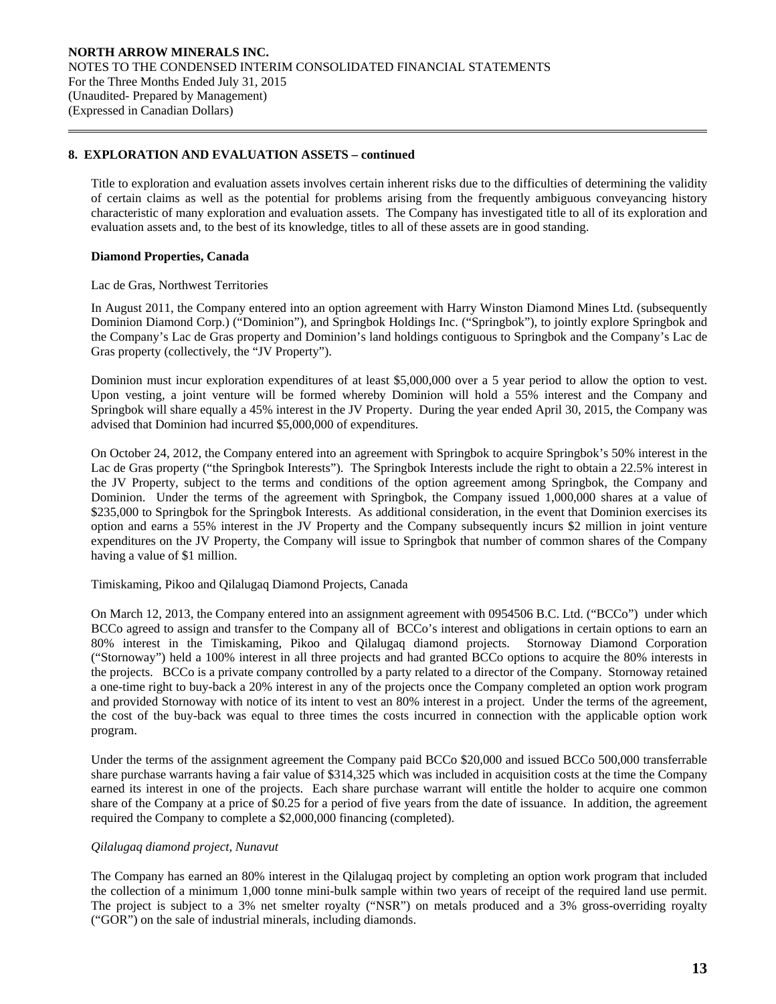## **8. EXPLORATION AND EVALUATION ASSETS – continued**

 Title to exploration and evaluation assets involves certain inherent risks due to the difficulties of determining the validity of certain claims as well as the potential for problems arising from the frequently ambiguous conveyancing history characteristic of many exploration and evaluation assets. The Company has investigated title to all of its exploration and evaluation assets and, to the best of its knowledge, titles to all of these assets are in good standing.

## **Diamond Properties, Canada**

 $\overline{a}$ 

## Lac de Gras, Northwest Territories

In August 2011, the Company entered into an option agreement with Harry Winston Diamond Mines Ltd. (subsequently Dominion Diamond Corp.) ("Dominion"), and Springbok Holdings Inc. ("Springbok"), to jointly explore Springbok and the Company's Lac de Gras property and Dominion's land holdings contiguous to Springbok and the Company's Lac de Gras property (collectively, the "JV Property").

Dominion must incur exploration expenditures of at least \$5,000,000 over a 5 year period to allow the option to vest. Upon vesting, a joint venture will be formed whereby Dominion will hold a 55% interest and the Company and Springbok will share equally a 45% interest in the JV Property. During the year ended April 30, 2015, the Company was advised that Dominion had incurred \$5,000,000 of expenditures.

On October 24, 2012, the Company entered into an agreement with Springbok to acquire Springbok's 50% interest in the Lac de Gras property ("the Springbok Interests"). The Springbok Interests include the right to obtain a 22.5% interest in the JV Property, subject to the terms and conditions of the option agreement among Springbok, the Company and Dominion. Under the terms of the agreement with Springbok, the Company issued 1,000,000 shares at a value of \$235,000 to Springbok for the Springbok Interests. As additional consideration, in the event that Dominion exercises its option and earns a 55% interest in the JV Property and the Company subsequently incurs \$2 million in joint venture expenditures on the JV Property, the Company will issue to Springbok that number of common shares of the Company having a value of \$1 million.

## Timiskaming, Pikoo and Qilalugaq Diamond Projects, Canada

On March 12, 2013, the Company entered into an assignment agreement with 0954506 B.C. Ltd. ("BCCo") under which BCCo agreed to assign and transfer to the Company all of BCCo's interest and obligations in certain options to earn an 80% interest in the Timiskaming, Pikoo and Qilalugaq diamond projects. Stornoway Diamond Corporation ("Stornoway") held a 100% interest in all three projects and had granted BCCo options to acquire the 80% interests in the projects. BCCo is a private company controlled by a party related to a director of the Company. Stornoway retained a one-time right to buy-back a 20% interest in any of the projects once the Company completed an option work program and provided Stornoway with notice of its intent to vest an 80% interest in a project. Under the terms of the agreement, the cost of the buy-back was equal to three times the costs incurred in connection with the applicable option work program.

Under the terms of the assignment agreement the Company paid BCCo \$20,000 and issued BCCo 500,000 transferrable share purchase warrants having a fair value of \$314,325 which was included in acquisition costs at the time the Company earned its interest in one of the projects. Each share purchase warrant will entitle the holder to acquire one common share of the Company at a price of \$0.25 for a period of five years from the date of issuance. In addition, the agreement required the Company to complete a \$2,000,000 financing (completed).

## *Qilalugaq diamond project, Nunavut*

The Company has earned an 80% interest in the Qilalugaq project by completing an option work program that included the collection of a minimum 1,000 tonne mini-bulk sample within two years of receipt of the required land use permit. The project is subject to a 3% net smelter royalty ("NSR") on metals produced and a 3% gross-overriding royalty ("GOR") on the sale of industrial minerals, including diamonds.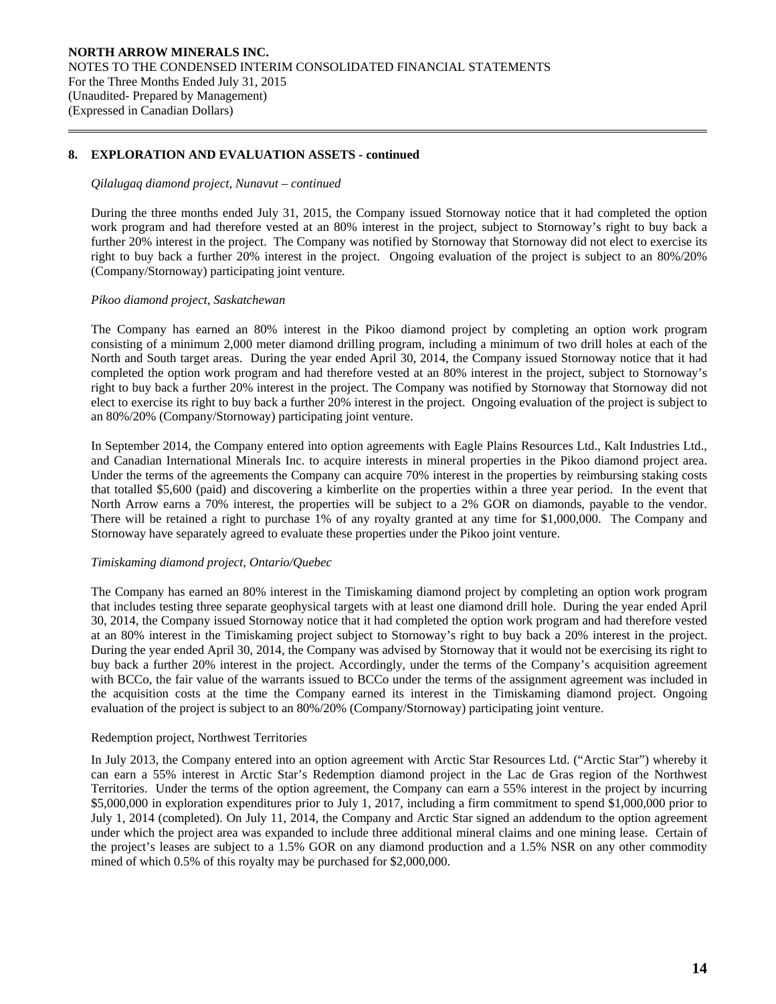# **8. EXPLORATION AND EVALUATION ASSETS - continued**

#### *Qilalugaq diamond project, Nunavut – continued*

During the three months ended July 31, 2015, the Company issued Stornoway notice that it had completed the option work program and had therefore vested at an 80% interest in the project, subject to Stornoway's right to buy back a further 20% interest in the project. The Company was notified by Stornoway that Stornoway did not elect to exercise its right to buy back a further 20% interest in the project. Ongoing evaluation of the project is subject to an 80%/20% (Company/Stornoway) participating joint venture.

## *Pikoo diamond project, Saskatchewan*

 $\overline{a}$ 

The Company has earned an 80% interest in the Pikoo diamond project by completing an option work program consisting of a minimum 2,000 meter diamond drilling program, including a minimum of two drill holes at each of the North and South target areas. During the year ended April 30, 2014, the Company issued Stornoway notice that it had completed the option work program and had therefore vested at an 80% interest in the project, subject to Stornoway's right to buy back a further 20% interest in the project. The Company was notified by Stornoway that Stornoway did not elect to exercise its right to buy back a further 20% interest in the project. Ongoing evaluation of the project is subject to an 80%/20% (Company/Stornoway) participating joint venture.

In September 2014, the Company entered into option agreements with Eagle Plains Resources Ltd., Kalt Industries Ltd., and Canadian International Minerals Inc. to acquire interests in mineral properties in the Pikoo diamond project area. Under the terms of the agreements the Company can acquire 70% interest in the properties by reimbursing staking costs that totalled \$5,600 (paid) and discovering a kimberlite on the properties within a three year period. In the event that North Arrow earns a 70% interest, the properties will be subject to a 2% GOR on diamonds, payable to the vendor. There will be retained a right to purchase 1% of any royalty granted at any time for \$1,000,000. The Company and Stornoway have separately agreed to evaluate these properties under the Pikoo joint venture.

## *Timiskaming diamond project, Ontario/Quebec*

The Company has earned an 80% interest in the Timiskaming diamond project by completing an option work program that includes testing three separate geophysical targets with at least one diamond drill hole. During the year ended April 30, 2014, the Company issued Stornoway notice that it had completed the option work program and had therefore vested at an 80% interest in the Timiskaming project subject to Stornoway's right to buy back a 20% interest in the project. During the year ended April 30, 2014, the Company was advised by Stornoway that it would not be exercising its right to buy back a further 20% interest in the project. Accordingly, under the terms of the Company's acquisition agreement with BCCo, the fair value of the warrants issued to BCCo under the terms of the assignment agreement was included in the acquisition costs at the time the Company earned its interest in the Timiskaming diamond project. Ongoing evaluation of the project is subject to an 80%/20% (Company/Stornoway) participating joint venture.

## Redemption project, Northwest Territories

In July 2013, the Company entered into an option agreement with Arctic Star Resources Ltd. ("Arctic Star") whereby it can earn a 55% interest in Arctic Star's Redemption diamond project in the Lac de Gras region of the Northwest Territories. Under the terms of the option agreement, the Company can earn a 55% interest in the project by incurring \$5,000,000 in exploration expenditures prior to July 1, 2017, including a firm commitment to spend \$1,000,000 prior to July 1, 2014 (completed). On July 11, 2014, the Company and Arctic Star signed an addendum to the option agreement under which the project area was expanded to include three additional mineral claims and one mining lease. Certain of the project's leases are subject to a 1.5% GOR on any diamond production and a 1.5% NSR on any other commodity mined of which 0.5% of this royalty may be purchased for \$2,000,000.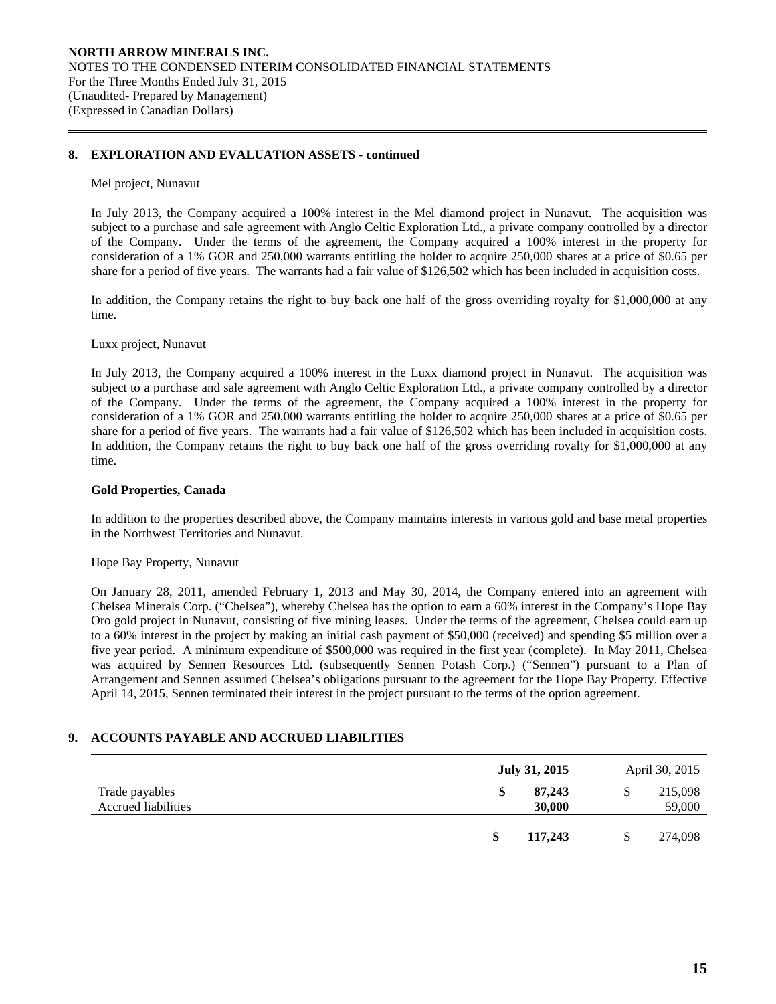## **8. EXPLORATION AND EVALUATION ASSETS - continued**

#### Mel project, Nunavut

 $\overline{a}$ 

In July 2013, the Company acquired a 100% interest in the Mel diamond project in Nunavut. The acquisition was subject to a purchase and sale agreement with Anglo Celtic Exploration Ltd., a private company controlled by a director of the Company. Under the terms of the agreement, the Company acquired a 100% interest in the property for consideration of a 1% GOR and 250,000 warrants entitling the holder to acquire 250,000 shares at a price of \$0.65 per share for a period of five years. The warrants had a fair value of \$126,502 which has been included in acquisition costs.

In addition, the Company retains the right to buy back one half of the gross overriding royalty for \$1,000,000 at any time.

Luxx project, Nunavut

In July 2013, the Company acquired a 100% interest in the Luxx diamond project in Nunavut. The acquisition was subject to a purchase and sale agreement with Anglo Celtic Exploration Ltd., a private company controlled by a director of the Company. Under the terms of the agreement, the Company acquired a 100% interest in the property for consideration of a 1% GOR and 250,000 warrants entitling the holder to acquire 250,000 shares at a price of \$0.65 per share for a period of five years. The warrants had a fair value of \$126,502 which has been included in acquisition costs. In addition, the Company retains the right to buy back one half of the gross overriding royalty for \$1,000,000 at any time.

## **Gold Properties, Canada**

 In addition to the properties described above, the Company maintains interests in various gold and base metal properties in the Northwest Territories and Nunavut.

Hope Bay Property, Nunavut

On January 28, 2011, amended February 1, 2013 and May 30, 2014, the Company entered into an agreement with Chelsea Minerals Corp. ("Chelsea"), whereby Chelsea has the option to earn a 60% interest in the Company's Hope Bay Oro gold project in Nunavut, consisting of five mining leases. Under the terms of the agreement, Chelsea could earn up to a 60% interest in the project by making an initial cash payment of \$50,000 (received) and spending \$5 million over a five year period. A minimum expenditure of \$500,000 was required in the first year (complete). In May 2011, Chelsea was acquired by Sennen Resources Ltd. (subsequently Sennen Potash Corp.) ("Sennen") pursuant to a Plan of Arrangement and Sennen assumed Chelsea's obligations pursuant to the agreement for the Hope Bay Property. Effective April 14, 2015, Sennen terminated their interest in the project pursuant to the terms of the option agreement.

## **9. ACCOUNTS PAYABLE AND ACCRUED LIABILITIES**

|                                       | <b>July 31, 2015</b>   | April 30, 2015    |
|---------------------------------------|------------------------|-------------------|
| Trade payables<br>Accrued liabilities | 87,243<br>\$<br>30,000 | 215,098<br>59,000 |
|                                       | 117,243                | 274,098           |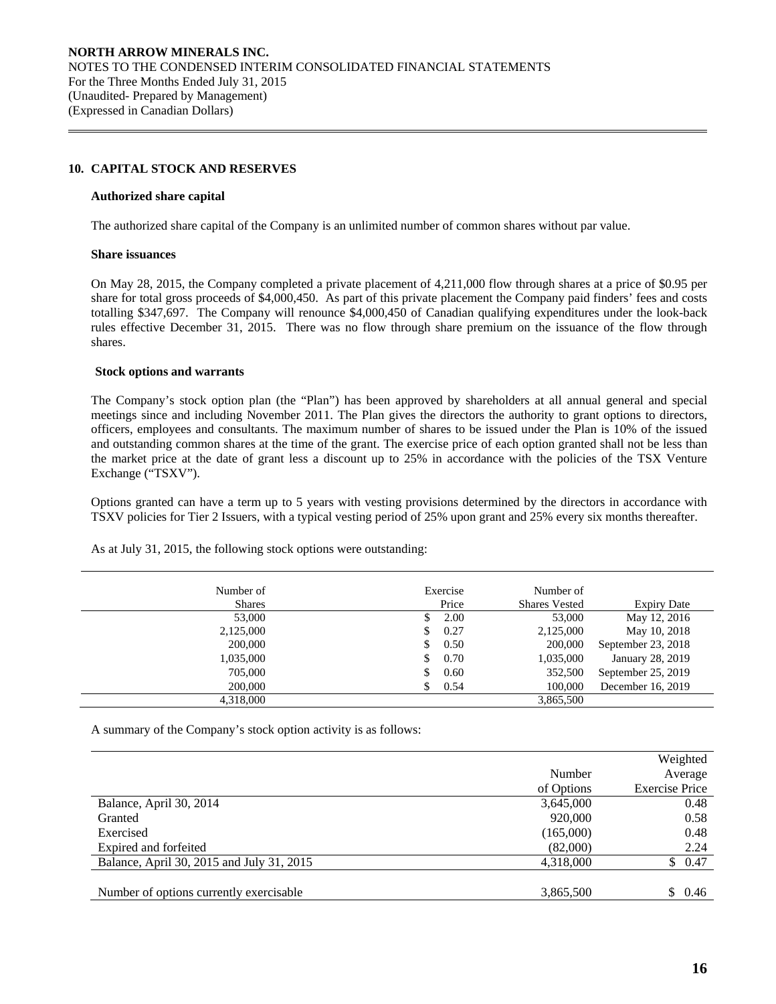## **10. CAPITAL STOCK AND RESERVES**

#### **Authorized share capital**

The authorized share capital of the Company is an unlimited number of common shares without par value.

#### **Share issuances**

 $\overline{a}$ 

On May 28, 2015, the Company completed a private placement of 4,211,000 flow through shares at a price of \$0.95 per share for total gross proceeds of \$4,000,450. As part of this private placement the Company paid finders' fees and costs totalling \$347,697. The Company will renounce \$4,000,450 of Canadian qualifying expenditures under the look-back rules effective December 31, 2015. There was no flow through share premium on the issuance of the flow through shares.

## **Stock options and warrants**

 The Company's stock option plan (the "Plan") has been approved by shareholders at all annual general and special meetings since and including November 2011. The Plan gives the directors the authority to grant options to directors, officers, employees and consultants. The maximum number of shares to be issued under the Plan is 10% of the issued and outstanding common shares at the time of the grant. The exercise price of each option granted shall not be less than the market price at the date of grant less a discount up to 25% in accordance with the policies of the TSX Venture Exchange ("TSXV").

Options granted can have a term up to 5 years with vesting provisions determined by the directors in accordance with TSXV policies for Tier 2 Issuers, with a typical vesting period of 25% upon grant and 25% every six months thereafter.

| Number of     | Exercise<br>Price | Number of            |                    |
|---------------|-------------------|----------------------|--------------------|
| <b>Shares</b> |                   | <b>Shares Vested</b> | <b>Expiry Date</b> |
| 53,000        |                   | 2.00<br>53,000       | May 12, 2016       |
| 2,125,000     | 0.27<br>S.        | 2,125,000            | May 10, 2018       |
| 200,000       | 0.50<br>S.        | 200,000              | September 23, 2018 |
| 1,035,000     | 0.70<br>S.        | 1,035,000            | January 28, 2019   |
| 705,000       | 0.60<br>S.        | 352,500              | September 25, 2019 |
| 200,000       | 0.54              | 100,000              | December 16, 2019  |
| 4,318,000     |                   | 3,865,500            |                    |

As at July 31, 2015, the following stock options were outstanding:

A summary of the Company's stock option activity is as follows:

|                                           |            | Weighted              |
|-------------------------------------------|------------|-----------------------|
|                                           | Number     | Average               |
|                                           | of Options | <b>Exercise Price</b> |
| Balance, April 30, 2014                   | 3,645,000  | 0.48                  |
| Granted                                   | 920,000    | 0.58                  |
| Exercised                                 | (165,000)  | 0.48                  |
| Expired and forfeited                     | (82,000)   | 2.24                  |
| Balance, April 30, 2015 and July 31, 2015 | 4,318,000  | \$0.47                |
|                                           |            |                       |
| Number of options currently exercisable   | 3,865,500  | S.<br>0.46            |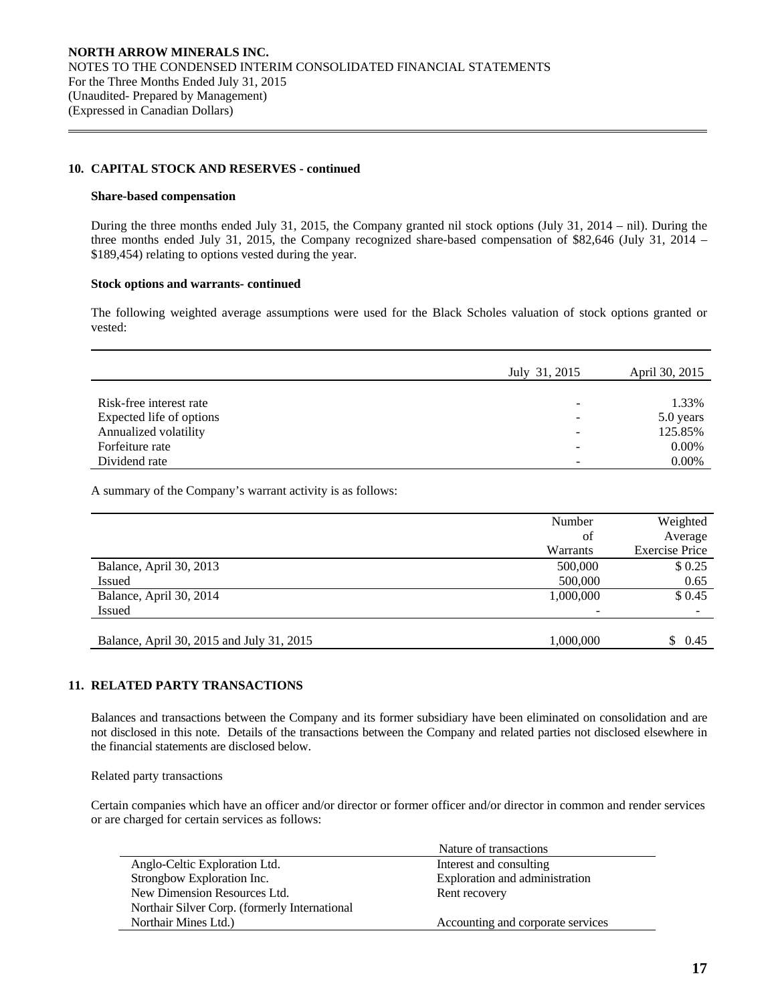## **10. CAPITAL STOCK AND RESERVES - continued**

#### **Share-based compensation**

 $\overline{a}$ 

 During the three months ended July 31, 2015, the Company granted nil stock options (July 31, 2014 – nil). During the three months ended July 31, 2015, the Company recognized share-based compensation of \$82,646 (July 31, 2014 – \$189,454) relating to options vested during the year.

## **Stock options and warrants- continued**

The following weighted average assumptions were used for the Black Scholes valuation of stock options granted or vested:

|                          | July 31, 2015 | April 30, 2015 |
|--------------------------|---------------|----------------|
|                          |               |                |
| Risk-free interest rate  |               | 1.33%          |
| Expected life of options |               | 5.0 years      |
| Annualized volatility    |               | 125.85%        |
| Forfeiture rate          |               | 0.00%          |
| Dividend rate            |               | 0.00%          |

A summary of the Company's warrant activity is as follows:

|                                           | Number    | Weighted              |
|-------------------------------------------|-----------|-----------------------|
|                                           | of        | Average               |
|                                           | Warrants  | <b>Exercise Price</b> |
| Balance, April 30, 2013                   | 500,000   | \$0.25                |
| <b>Issued</b>                             | 500,000   | 0.65                  |
| Balance, April 30, 2014                   | 1,000,000 | \$0.45                |
| Issued                                    |           |                       |
|                                           |           |                       |
| Balance, April 30, 2015 and July 31, 2015 | 1,000,000 | \$0.45                |

# **11. RELATED PARTY TRANSACTIONS**

 Balances and transactions between the Company and its former subsidiary have been eliminated on consolidation and are not disclosed in this note. Details of the transactions between the Company and related parties not disclosed elsewhere in the financial statements are disclosed below.

Related party transactions

Certain companies which have an officer and/or director or former officer and/or director in common and render services or are charged for certain services as follows:

|                                               | Nature of transactions            |
|-----------------------------------------------|-----------------------------------|
| Anglo-Celtic Exploration Ltd.                 | Interest and consulting           |
| Strongbow Exploration Inc.                    | Exploration and administration    |
| New Dimension Resources Ltd.                  | Rent recovery                     |
| Northair Silver Corp. (formerly International |                                   |
| Northair Mines Ltd.)                          | Accounting and corporate services |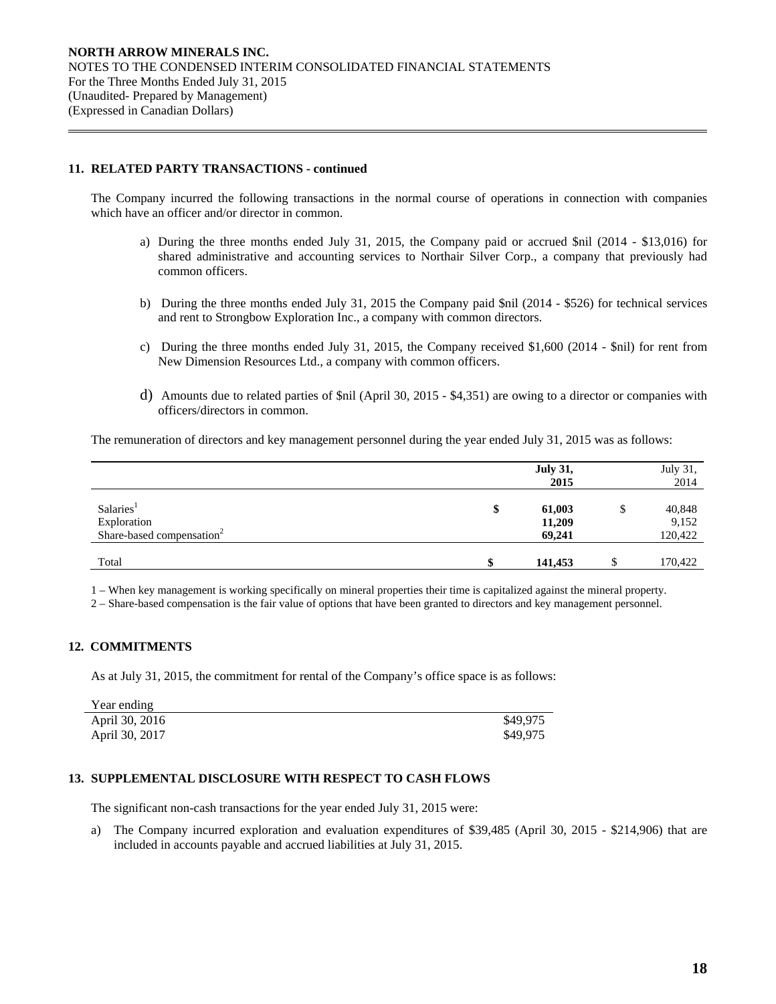## **11. RELATED PARTY TRANSACTIONS - continued**

 $\overline{a}$ 

 The Company incurred the following transactions in the normal course of operations in connection with companies which have an officer and/or director in common.

- a) During the three months ended July 31, 2015, the Company paid or accrued \$nil (2014 \$13,016) for shared administrative and accounting services to Northair Silver Corp., a company that previously had common officers.
- b) During the three months ended July 31, 2015 the Company paid \$nil (2014 \$526) for technical services and rent to Strongbow Exploration Inc., a company with common directors.
- c) During the three months ended July 31, 2015, the Company received \$1,600 (2014 \$nil) for rent from New Dimension Resources Ltd., a company with common officers.
- d) Amounts due to related parties of \$nil (April 30, 2015 \$4,351) are owing to a director or companies with officers/directors in common.

The remuneration of directors and key management personnel during the year ended July 31, 2015 was as follows:

|                                                                               | <b>July 31,</b><br>2015          | July 31,<br>2014           |
|-------------------------------------------------------------------------------|----------------------------------|----------------------------|
| Salaries <sup>1</sup><br>Exploration<br>Share-based compensation <sup>2</sup> | \$<br>61,003<br>11,209<br>69,241 | 40,848<br>9,152<br>120,422 |
| Total                                                                         | \$<br>141,453                    | 170,422                    |

1 – When key management is working specifically on mineral properties their time is capitalized against the mineral property.

2 – Share-based compensation is the fair value of options that have been granted to directors and key management personnel.

# **12. COMMITMENTS**

As at July 31, 2015, the commitment for rental of the Company's office space is as follows:

| Year ending    |          |
|----------------|----------|
| April 30, 2016 | \$49.975 |
| April 30, 2017 | \$49.975 |

# **13. SUPPLEMENTAL DISCLOSURE WITH RESPECT TO CASH FLOWS**

The significant non-cash transactions for the year ended July 31, 2015 were:

a) The Company incurred exploration and evaluation expenditures of \$39,485 (April 30, 2015 - \$214,906) that are included in accounts payable and accrued liabilities at July 31, 2015.